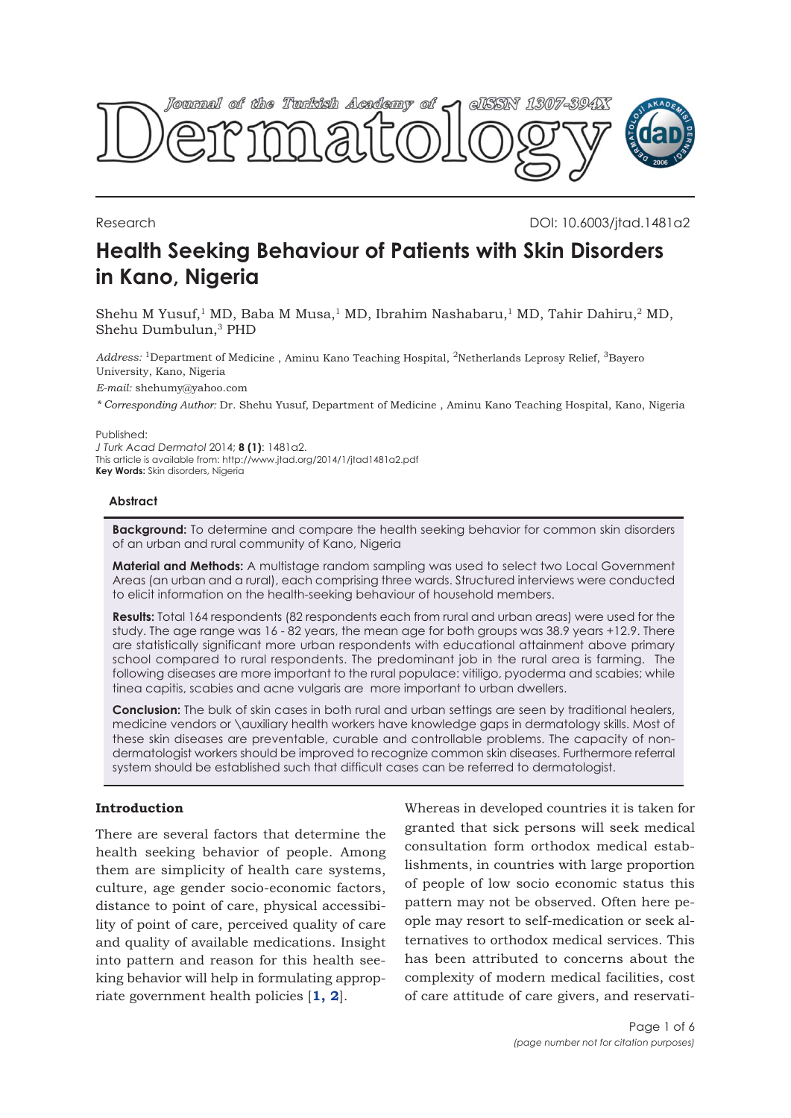

Research DOI: 10.6003/jtad.1481a2

# **Health Seeking Behaviour of Patients with Skin Disorders in Kano, Nigeria**

Shehu M Yusuf,<sup>1</sup> MD, Baba M Musa,<sup>1</sup> MD, Ibrahim Nashabaru,<sup>1</sup> MD, Tahir Dahiru,<sup>2</sup> MD, Shehu Dumbulun,3 PHD

*Address:* 1Department of Medicine , Aminu Kano Teaching Hospital, 2Netherlands Leprosy Relief, 3Bayero University, Kano, Nigeria

*E-mail:* shehumy@yahoo.com

*\* Corresponding Author:* Dr. Shehu Yusuf, Department of Medicine , Aminu Kano Teaching Hospital, Kano, Nigeria

Published:

*J Turk Acad Dermatol* 2014; **8 (1)**: 1481a2. This article is available from: http://www.jtad.org/2014/1/jtad1481a2.pdf **Key Words:** Skin disorders, Nigeria

# **Abstract**

**Background:** To determine and compare the health seeking behavior for common skin disorders of an urban and rural community of Kano, Nigeria

**Material and Methods:** A multistage random sampling was used to select two Local Government Areas (an urban and a rural), each comprising three wards. Structured interviews were conducted to elicit information on the health-seeking behaviour of household members.

**Results:** Total 164 respondents (82 respondents each from rural and urban areas) were used for the study. The age range was 16 - 82 years, the mean age for both groups was 38.9 years +12.9. There are statistically significant more urban respondents with educational attainment above primary school compared to rural respondents. The predominant job in the rural area is farming. The following diseases are more important to the rural populace: vitiligo, pyoderma and scabies; while tinea capitis, scabies and acne vulgaris are more important to urban dwellers.

**Conclusion:** The bulk of skin cases in both rural and urban settings are seen by traditional healers, medicine vendors or \auxiliary health workers have knowledge gaps in dermatology skills. Most of these skin diseases are preventable, curable and controllable problems. The capacity of nondermatologist workers should be improved to recognize common skin diseases. Furthermore referral system should be established such that difficult cases can be referred to dermatologist.

# **Introduction**

There are several factors that determine the health seeking behavior of people. Among them are simplicity of health care systems, culture, age gender socio-economic factors, distance to point of care, physical accessibility of point of care, perceived quality of care and quality of available medications. Insight into pattern and reason for this health seeking behavior will help in formulating appropriate government health policies [**1, 2**].

Whereas in developed countries it is taken for granted that sick persons will seek medical consultation form orthodox medical establishments, in countries with large proportion of people of low socio economic status this pattern may not be observed. Often here people may resort to self-medication or seek alternatives to orthodox medical services. This has been attributed to concerns about the complexity of modern medical facilities, cost of care attitude of care givers, and reservati-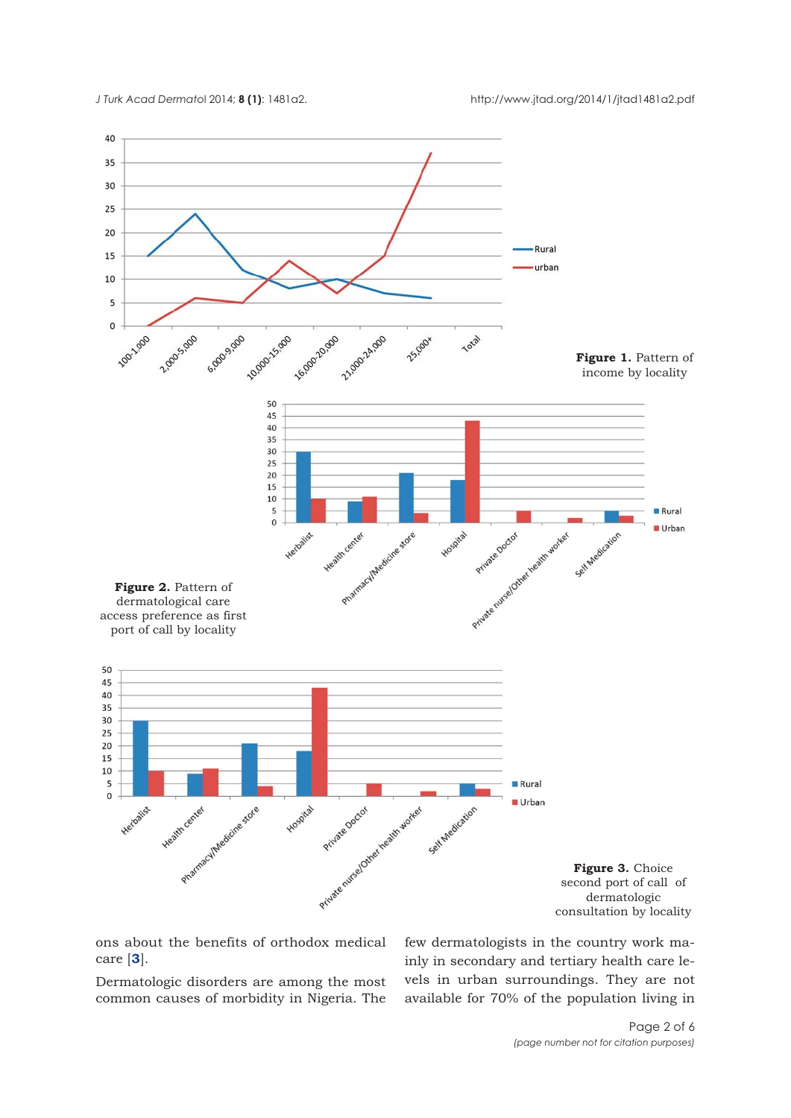

ons about the benefits of orthodox medical care [**3**].

Dermatologic disorders are among the most common causes of morbidity in Nigeria. The few dermatologists in the country work mainly in secondary and tertiary health care levels in urban surroundings. They are not available for 70% of the population living in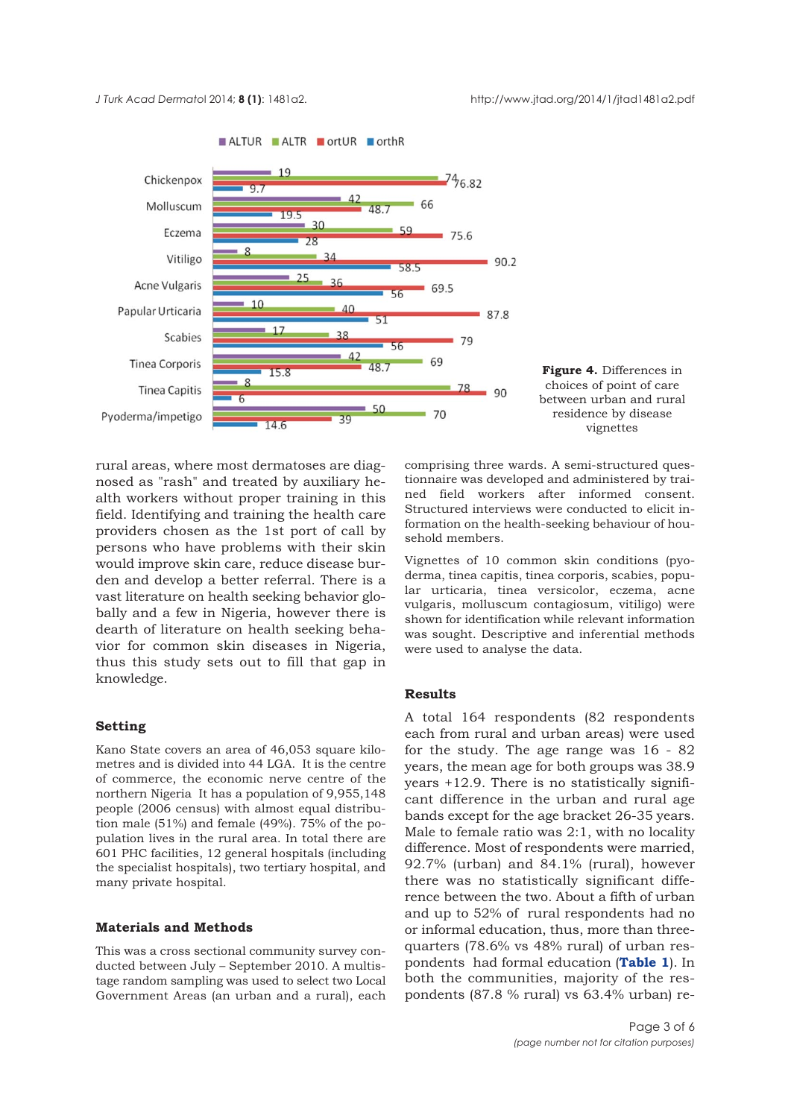

ALTUR ALTR ortUR orthR

rural areas, where most dermatoses are diagnosed as "rash" and treated by auxiliary health workers without proper training in this field. Identifying and training the health care providers chosen as the 1st port of call by persons who have problems with their skin would improve skin care, reduce disease burden and develop a better referral. There is a vast literature on health seeking behavior globally and a few in Nigeria, however there is dearth of literature on health seeking behavior for common skin diseases in Nigeria, thus this study sets out to fill that gap in knowledge.

## **Setting**

Kano State covers an area of 46,053 square kilometres and is divided into 44 LGA. It is the centre of commerce, the economic nerve centre of the northern Nigeria It has a population of 9,955,148 people (2006 census) with almost equal distribution male (51%) and female (49%). 75% of the population lives in the rural area. In total there are 601 PHC facilities, 12 general hospitals (including the specialist hospitals), two tertiary hospital, and many private hospital.

#### **Materials and Methods**

This was a cross sectional community survey conducted between July – September 2010. A multistage random sampling was used to select two Local Government Areas (an urban and a rural), each comprising three wards. A semi-structured questionnaire was developed and administered by trained field workers after informed consent. Structured interviews were conducted to elicit information on the health-seeking behaviour of household members.

Vignettes of 10 common skin conditions (pyoderma, tinea capitis, tinea corporis, scabies, popular urticaria, tinea versicolor, eczema, acne vulgaris, molluscum contagiosum, vitiligo) were shown for identification while relevant information was sought. Descriptive and inferential methods were used to analyse the data.

# **Results**

A total 164 respondents (82 respondents each from rural and urban areas) were used for the study. The age range was 16 - 82 years, the mean age for both groups was 38.9 years +12.9. There is no statistically significant difference in the urban and rural age bands except for the age bracket 26-35 years. Male to female ratio was 2:1, with no locality difference. Most of respondents were married, 92.7% (urban) and 84.1% (rural), however there was no statistically significant difference between the two. About a fifth of urban and up to 52% of rural respondents had no or informal education, thus, more than threequarters (78.6% vs 48% rural) of urban respondents had formal education (**Table 1**). In both the communities, majority of the respondents (87.8 % rural) vs 63.4% urban) re-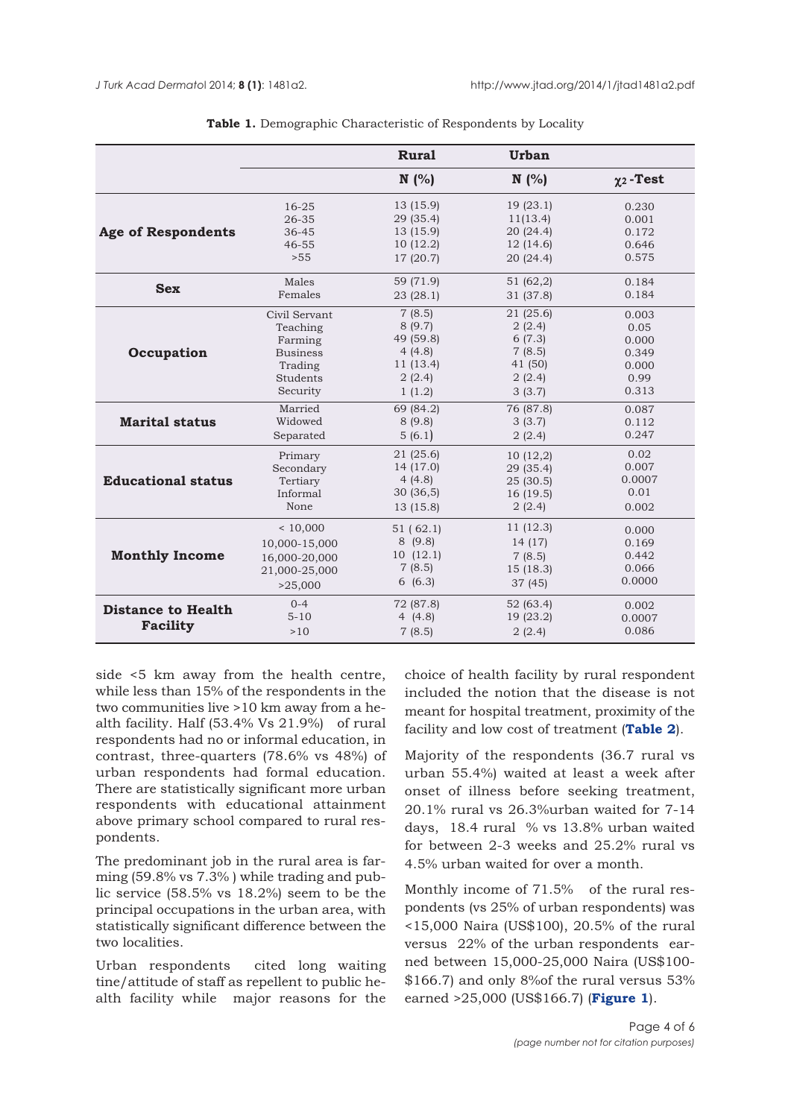|                           |                 | <b>Rural</b>           | Urban                |                            |
|---------------------------|-----------------|------------------------|----------------------|----------------------------|
|                           |                 | N(%                    | N(%                  | $\chi$ <sub>2</sub> - Test |
| <b>Age of Respondents</b> | $16 - 25$       | 13 (15.9)<br>29 (35.4) | 19(23.1)<br>11(13.4) | 0.230                      |
|                           | 26-35<br>36-45  | 13 (15.9)              | 20(24.4)             | 0.001<br>0.172             |
|                           | $46 - 55$       | 10(12.2)               | 12(14.6)             | 0.646                      |
|                           | >55             | 17 (20.7)              | 20(24.4)             | 0.575                      |
| <b>Sex</b>                | Males           | 59 (71.9)              | 51 (62,2)            | 0.184                      |
|                           | Females         | 23(28.1)               | 31 (37.8)            | 0.184                      |
| Occupation                | Civil Servant   | 7(8.5)                 | 21 (25.6)            | 0.003                      |
|                           | Teaching        | 8(9.7)                 | 2(2.4)               | 0.05                       |
|                           | Farming         | 49 (59.8)              | 6(7.3)               | 0.000                      |
|                           | <b>Business</b> | 4(4.8)                 | 7(8.5)               | 0.349                      |
|                           | Trading         | 11 (13.4)              | 41 (50)              | 0.000                      |
|                           | Students        | 2(2.4)                 | 2(2.4)               | 0.99                       |
|                           | Security        | 1(1.2)                 | 3(3.7)               | 0.313                      |
| <b>Marital status</b>     | Married         | 69 (84.2)              | 76 (87.8)            | 0.087                      |
|                           | Widowed         | 8(9.8)                 | 3(3.7)               | 0.112                      |
|                           | Separated       | 5(6.1)                 | 2(2.4)               | 0.247                      |
| <b>Educational status</b> | Primary         | 21 (25.6)              | 10(12,2)             | 0.02                       |
|                           | Secondary       | 14 (17.0)              | 29 (35.4)            | 0.007                      |
|                           | Tertiary        | 4(4.8)                 | 25(30.5)             | 0.0007                     |
|                           | Informal        | 30(36,5)               | 16(19.5)             | 0.01                       |
|                           | None            | 13 (15.8)              | 2(2.4)               | 0.002                      |
| <b>Monthly Income</b>     | < 10,000        | 51(62.1)               | 11 (12.3)            | 0.000                      |
|                           | 10,000-15,000   | 8(9.8)                 | 14(17)               | 0.169                      |
|                           | 16,000-20,000   | 10(12.1)               | 7(8.5)               | 0.442                      |
|                           | 21,000-25,000   | 7(8.5)                 | 15(18.3)             | 0.066                      |
|                           | >25,000         | 6(6.3)                 | 37(45)               | 0.0000                     |
| <b>Distance to Health</b> | $0 - 4$         | 72 (87.8)              | 52 (63.4)            | 0.002                      |
| <b>Facility</b>           | $5 - 10$        | 4 $(4.8)$              | 19 (23.2)            | 0.0007                     |
|                           | >10             | 7(8.5)                 | 2(2.4)               | 0.086                      |

**Table 1.** Demographic Characteristic of Respondents by Locality

side <5 km away from the health centre, while less than 15% of the respondents in the two communities live >10 km away from a health facility. Half (53.4% Vs 21.9%) of rural respondents had no or informal education, in contrast, three-quarters (78.6% vs 48%) of urban respondents had formal education. There are statistically significant more urban respondents with educational attainment above primary school compared to rural respondents.

The predominant job in the rural area is farming (59.8% vs 7.3% ) while trading and public service (58.5% vs 18.2%) seem to be the principal occupations in the urban area, with statistically significant difference between the two localities.

Urban respondents cited long waiting tine/attitude of staff as repellent to public health facility while major reasons for the

choice of health facility by rural respondent included the notion that the disease is not meant for hospital treatment, proximity of the facility and low cost of treatment (**Table 2**).

Majority of the respondents (36.7 rural vs urban 55.4%) waited at least a week after onset of illness before seeking treatment, 20.1% rural vs 26.3%urban waited for 7-14 days, 18.4 rural % vs 13.8% urban waited for between 2-3 weeks and 25.2% rural vs 4.5% urban waited for over a month.

Monthly income of 71.5% of the rural respondents (vs 25% of urban respondents) was <15,000 Naira (US\$100), 20.5% of the rural versus 22% of the urban respondents earned between 15,000-25,000 Naira (US\$100- \$166.7) and only 8%of the rural versus 53% earned >25,000 (US\$166.7) (**Figure 1**).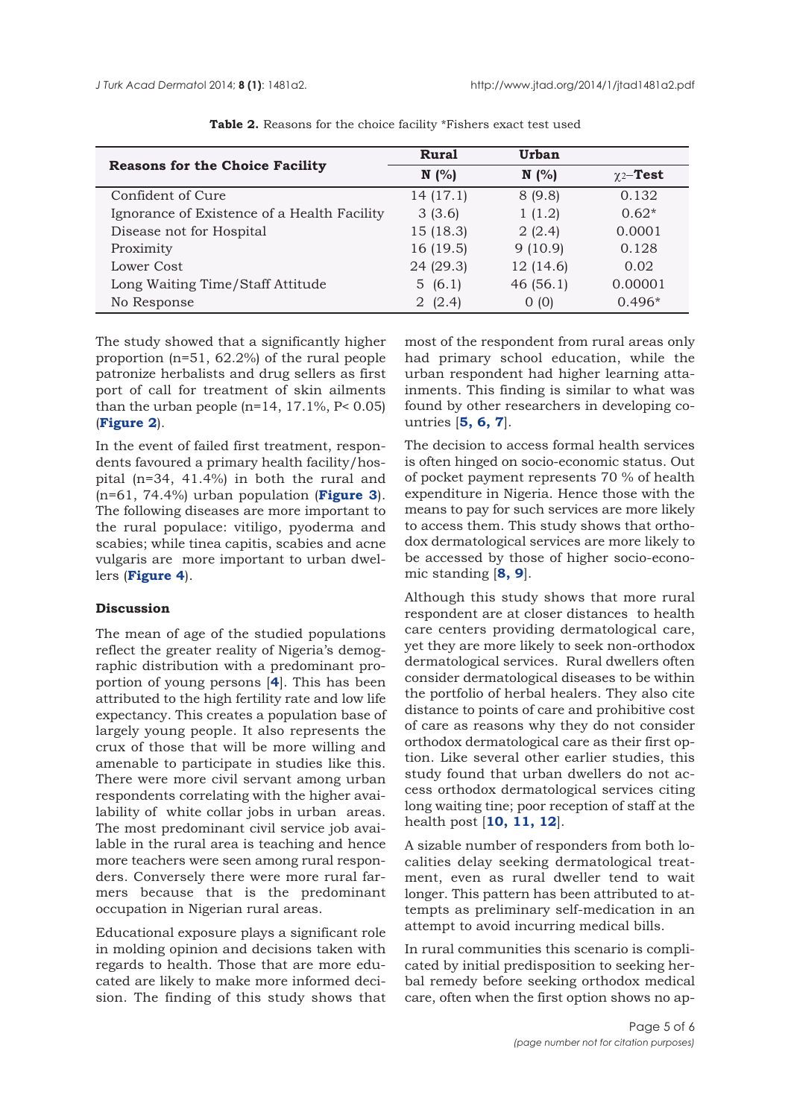|                                             | <b>Rural</b> | Urban     |                           |
|---------------------------------------------|--------------|-----------|---------------------------|
| <b>Reasons for the Choice Facility</b>      | N(%          | N(%       | $\chi$ <sub>2</sub> -Test |
| Confident of Cure                           | 14(17.1)     | 8(9.8)    | 0.132                     |
| Ignorance of Existence of a Health Facility | 3(3.6)       | 1(1.2)    | $0.62*$                   |
| Disease not for Hospital                    | 15(18.3)     | 2(2.4)    | 0.0001                    |
| Proximity                                   | 16(19.5)     | 9(10.9)   | 0.128                     |
| Lower Cost                                  | 24 (29.3)    | 12 (14.6) | 0.02                      |
| Long Waiting Time/Staff Attitude            | 5(6.1)       | 46(56.1)  | 0.00001                   |
| No Response                                 | 2(2.4)       | 0(0)      | $0.496*$                  |

**Table 2.** Reasons for the choice facility \*Fishers exact test used

The study showed that a significantly higher proportion (n=51, 62.2%) of the rural people patronize herbalists and drug sellers as first port of call for treatment of skin ailments than the urban people ( $n=14$ , 17.1%,  $P < 0.05$ ) (**Figure 2**).

In the event of failed first treatment, respondents favoured a primary health facility/hospital (n=34, 41.4%) in both the rural and (n=61, 74.4%) urban population (**Figure 3**). The following diseases are more important to the rural populace: vitiligo, pyoderma and scabies; while tinea capitis, scabies and acne vulgaris are more important to urban dwellers (**Figure 4**).

# **Discussion**

The mean of age of the studied populations reflect the greater reality of Nigeria's demographic distribution with a predominant proportion of young persons [**4**]. This has been attributed to the high fertility rate and low life expectancy. This creates a population base of largely young people. It also represents the crux of those that will be more willing and amenable to participate in studies like this. There were more civil servant among urban respondents correlating with the higher availability of white collar jobs in urban areas. The most predominant civil service job available in the rural area is teaching and hence more teachers were seen among rural responders. Conversely there were more rural farmers because that is the predominant occupation in Nigerian rural areas.

Educational exposure plays a significant role in molding opinion and decisions taken with regards to health. Those that are more educated are likely to make more informed decision. The finding of this study shows that

most of the respondent from rural areas only had primary school education, while the urban respondent had higher learning attainments. This finding is similar to what was found by other researchers in developing countries [**5, 6, 7**].

The decision to access formal health services is often hinged on socio-economic status. Out of pocket payment represents 70 % of health expenditure in Nigeria. Hence those with the means to pay for such services are more likely to access them. This study shows that orthodox dermatological services are more likely to be accessed by those of higher socio-economic standing [**8, 9**].

Although this study shows that more rural respondent are at closer distances to health care centers providing dermatological care, yet they are more likely to seek non-orthodox dermatological services. Rural dwellers often consider dermatological diseases to be within the portfolio of herbal healers. They also cite distance to points of care and prohibitive cost of care as reasons why they do not consider orthodox dermatological care as their first option. Like several other earlier studies, this study found that urban dwellers do not access orthodox dermatological services citing long waiting tine; poor reception of staff at the health post [**10, 11, 12**].

A sizable number of responders from both localities delay seeking dermatological treatment, even as rural dweller tend to wait longer. This pattern has been attributed to attempts as preliminary self-medication in an attempt to avoid incurring medical bills.

In rural communities this scenario is complicated by initial predisposition to seeking herbal remedy before seeking orthodox medical care, often when the first option shows no ap